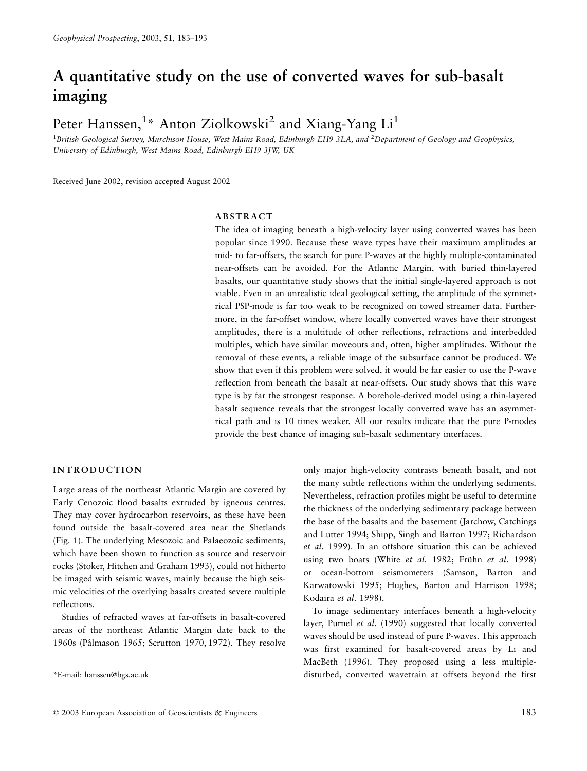# A quantitative study on the use of converted waves for sub-basalt imaging

Peter Hanssen, <sup>1\*</sup> Anton Ziolkowski<sup>2</sup> and Xiang-Yang Li<sup>1</sup>

<sup>1</sup>British Geological Survey, Murchison House, West Mains Road, Edinburgh EH9 3LA, and <sup>2</sup>Department of Geology and Geophysics. University of Edinburgh, West Mains Road, Edinburgh EH9 3JW, UK

Received June 2002, revision accepted August 2002

## **ABSTRACT**

The idea of imaging beneath a high-velocity layer using converted waves has been popular since 1990. Because these wave types have their maximum amplitudes at mid- to far-offsets, the search for pure P-waves at the highly multiple-contaminated near-offsets can be avoided. For the Atlantic Margin, with buried thin-layered basalts, our quantitative study shows that the initial single-layered approach is not viable. Even in an unrealistic ideal geological setting, the amplitude of the symmetrical PSP-mode is far too weak to be recognized on towed streamer data. Furthermore, in the far-offset window, where locally converted waves have their strongest amplitudes, there is a multitude of other reflections, refractions and interbedded multiples, which have similar moveouts and, often, higher amplitudes. Without the removal of these events, a reliable image of the subsurface cannot be produced. We show that even if this problem were solved, it would be far easier to use the P-wave reflection from beneath the basalt at near-offsets. Our study shows that this wave type is by far the strongest response. A borehole-derived model using a thin-layered basalt sequence reveals that the strongest locally converted wave has an asymmetrical path and is 10 times weaker. All our results indicate that the pure P-modes provide the best chance of imaging sub-basalt sedimentary interfaces.

#### **INTRODUCTION**

Large areas of the northeast Atlantic Margin are covered by Early Cenozoic flood basalts extruded by igneous centres. They may cover hydrocarbon reservoirs, as these have been found outside the basalt-covered area near the Shetlands (Fig. 1). The underlying Mesozoic and Palaeozoic sediments, which have been shown to function as source and reservoir rocks (Stoker, Hitchen and Graham 1993), could not hitherto be imaged with seismic waves, mainly because the high seismic velocities of the overlying basalts created severe multiple reflections.

Studies of refracted waves at far-offsets in basalt-covered areas of the northeast Atlantic Margin date back to the 1960s (Pálmason 1965; Scrutton 1970, 1972). They resolve only major high-velocity contrasts beneath basalt, and not the many subtle reflections within the underlying sediments. Nevertheless, refraction profiles might be useful to determine the thickness of the underlying sedimentary package between the base of the basalts and the basement (Jarchow, Catchings and Lutter 1994; Shipp, Singh and Barton 1997; Richardson et al. 1999). In an offshore situation this can be achieved using two boats (White et al. 1982; Frühn et al. 1998) or ocean-bottom seismometers (Samson, Barton and Karwatowski 1995; Hughes, Barton and Harrison 1998; Kodaira et al. 1998).

To image sedimentary interfaces beneath a high-velocity layer, Purnel et al. (1990) suggested that locally converted waves should be used instead of pure P-waves. This approach was first examined for basalt-covered areas by Li and MacBeth (1996). They proposed using a less multipledisturbed, converted wavetrain at offsets beyond the first

<sup>\*</sup>E-mail: hanssen@bgs.ac.uk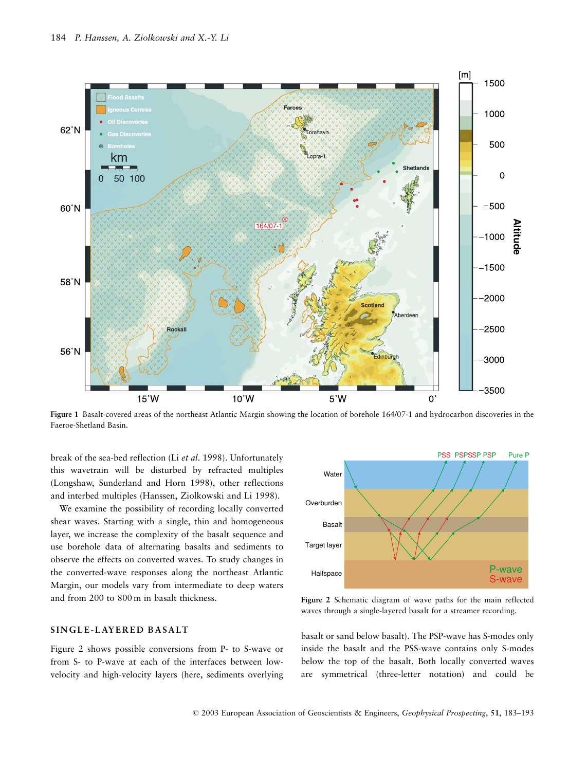

Figure 1 Basalt-covered areas of the northeast Atlantic Margin showing the location of borehole 164/07-1 and hydrocarbon discoveries in the Faeroe-Shetland Basin.

break of the sea-bed reflection (Li et al. 1998). Unfortunately this wavetrain will be disturbed by refracted multiples (Longshaw, Sunderland and Horn 1998), other reflections and interbed multiples (Hanssen, Ziolkowski and Li 1998).

We examine the possibility of recording locally converted shear waves. Starting with a single, thin and homogeneous layer, we increase the complexity of the basalt sequence and use borehole data of alternating basalts and sediments to observe the effects on converted waves. To study changes in the converted-wave responses along the northeast Atlantic Margin, our models vary from intermediate to deep waters and from 200 to 800 m in basalt thickness.

### SINGLE-LAYERED BASALT

Figure 2 shows possible conversions from P- to S-wave or from S- to P-wave at each of the interfaces between lowvelocity and high-velocity layers (here, sediments overlying



Figure 2 Schematic diagram of wave paths for the main reflected waves through a single-layered basalt for a streamer recording.

basalt or sand below basalt). The PSP-wave has S-modes only inside the basalt and the PSS-wave contains only S-modes below the top of the basalt. Both locally converted waves are symmetrical (three-letter notation) and could be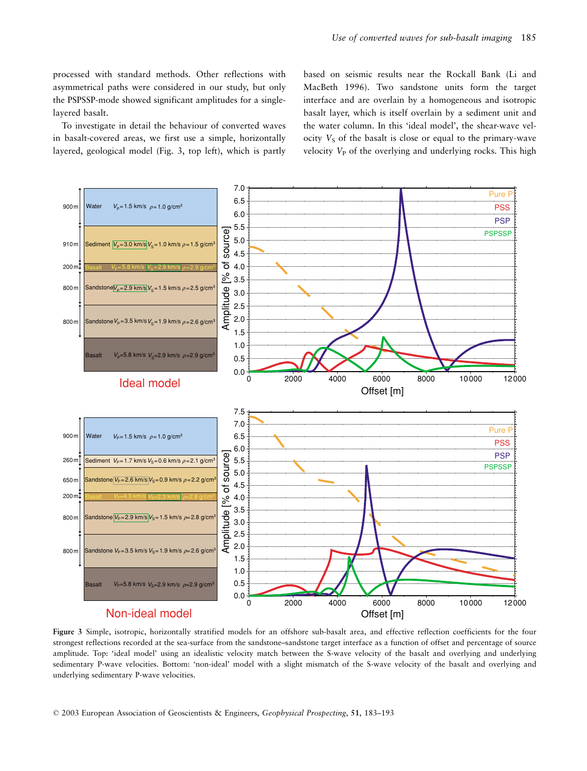processed with standard methods. Other reflections with asymmetrical paths were considered in our study, but only the PSPSSP-mode showed significant amplitudes for a singlelayered basalt.

To investigate in detail the behaviour of converted waves in basalt-covered areas, we first use a simple, horizontally layered, geological model (Fig. 3, top left), which is partly based on seismic results near the Rockall Bank (Li and MacBeth 1996). Two sandstone units form the target interface and are overlain by a homogeneous and isotropic basalt layer, which is itself overlain by a sediment unit and the water column. In this 'ideal model', the shear-wave velocity  $V_S$  of the basalt is close or equal to the primary-wave velocity  $V_{\rm P}$  of the overlying and underlying rocks. This high



Figure 3 Simple, isotropic, horizontally stratified models for an offshore sub-basalt area, and effective reflection coefficients for the four strongest reflections recorded at the sea-surface from the sandstone-sandstone target interface as a function of offset and percentage of source amplitude. Top: 'ideal model' using an idealistic velocity match between the S-wave velocity of the basalt and overlying and underlying sedimentary P-wave velocities. Bottom: 'non-ideal' model with a slight mismatch of the S-wave velocity of the basalt and overlying and underlying sedimentary P-wave velocities.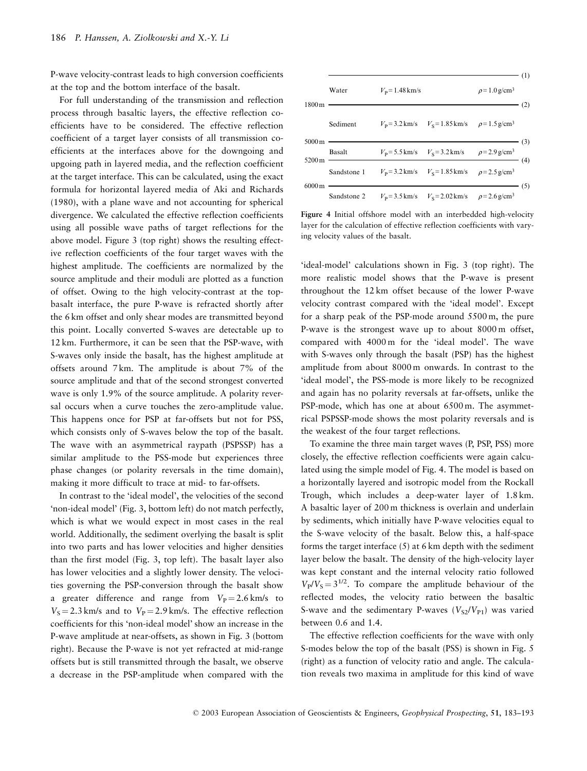P-wave velocity-contrast leads to high conversion coefficients at the top and the bottom interface of the basalt.

For full understanding of the transmission and reflection process through basaltic layers, the effective reflection coefficients have to be considered. The effective reflection coefficient of a target layer consists of all transmission coefficients at the interfaces above for the downgoing and upgoing path in layered media, and the reflection coefficient at the target interface. This can be calculated, using the exact formula for horizontal layered media of Aki and Richards (1980), with a plane wave and not accounting for spherical divergence. We calculated the effective reflection coefficients using all possible wave paths of target reflections for the above model. Figure 3 (top right) shows the resulting effective reflection coefficients of the four target waves with the highest amplitude. The coefficients are normalized by the source amplitude and their moduli are plotted as a function of offset. Owing to the high velocity-contrast at the topbasalt interface, the pure P-wave is refracted shortly after the 6 km offset and only shear modes are transmitted beyond this point. Locally converted S-waves are detectable up to 12 km. Furthermore, it can be seen that the PSP-wave, with S-waves only inside the basalt, has the highest amplitude at offsets around 7km. The amplitude is about 7% of the source amplitude and that of the second strongest converted wave is only 1.9% of the source amplitude. A polarity reversal occurs when a curve touches the zero-amplitude value. This happens once for PSP at far-offsets but not for PSS, which consists only of S-waves below the top of the basalt. The wave with an asymmetrical raypath (PSPSSP) has a similar amplitude to the PSS-mode but experiences three phase changes (or polarity reversals in the time domain), making it more difficult to trace at mid- to far-offsets.

In contrast to the 'ideal model', the velocities of the second 'non-ideal model' (Fig. 3, bottom left) do not match perfectly, which is what we would expect in most cases in the real world. Additionally, the sediment overlying the basalt is split into two parts and has lower velocities and higher densities than the first model (Fig. 3, top left). The basalt layer also has lower velocities and a slightly lower density. The velocities governing the PSP-conversion through the basalt show a greater difference and range from  $V_p = 2.6 \text{ km/s}$  to  $V_s = 2.3$  km/s and to  $V_p = 2.9$  km/s. The effective reflection coefficients for this 'non-ideal model' show an increase in the P-wave amplitude at near-offsets, as shown in Fig. 3 (bottom right). Because the P-wave is not yet refracted at mid-range offsets but is still transmitted through the basalt, we observe a decrease in the PSP-amplitude when compared with the

|                                            |             |                                                           |                                                                                |                                | (1) |
|--------------------------------------------|-------------|-----------------------------------------------------------|--------------------------------------------------------------------------------|--------------------------------|-----|
| $1800 \,\mathrm{m}$                        | Water       | $V_{\rm p}$ = 1.48 km/s                                   |                                                                                | $\rho = 1.0$ g/cm <sup>3</sup> |     |
|                                            | Sediment    |                                                           | $V_p = 3.2 \text{ km/s}$ $V_s = 1.85 \text{ km/s}$ $\rho = 1.5 \text{ g/cm}^3$ |                                | (2) |
| $5000 \,\mathrm{m}$<br>$5200 \,\mathrm{m}$ | Basalt      | $V_{\rm p} = 5.5 \,\rm km/s$ $V_{\rm s} = 3.2 \,\rm km/s$ |                                                                                | $\rho$ = 2.9 g/cm <sup>3</sup> | (3) |
|                                            | Sandstone 1 |                                                           | $V_p = 3.2 \text{ km/s}$ $V_s = 1.85 \text{ km/s}$ $\rho = 2.5 \text{ g/cm}^3$ |                                | (4) |
| $6000 \,\mathrm{m}$                        | Sandstone 2 |                                                           | $V_p = 3.5 \text{ km/s}$ $V_s = 2.02 \text{ km/s}$ $\rho = 2.6 \text{ g/cm}^3$ |                                | (5) |

Figure 4 Initial offshore model with an interbedded high-velocity layer for the calculation of effective reflection coefficients with varying velocity values of the basalt.

'ideal-model' calculations shown in Fig. 3 (top right). The more realistic model shows that the P-wave is present throughout the 12 km offset because of the lower P-wave velocity contrast compared with the 'ideal model'. Except for a sharp peak of the PSP-mode around 5500 m, the pure P-wave is the strongest wave up to about 8000 m offset, compared with 4000 m for the 'ideal model'. The wave with S-waves only through the basalt (PSP) has the highest amplitude from about 8000m onwards. In contrast to the 'ideal model', the PSS-mode is more likely to be recognized and again has no polarity reversals at far-offsets, unlike the PSP-mode, which has one at about 6500 m. The asymmetrical PSPSSP-mode shows the most polarity reversals and is the weakest of the four target reflections.

To examine the three main target waves (P, PSP, PSS) more closely, the effective reflection coefficients were again calculated using the simple model of Fig. 4. The model is based on a horizontally layered and isotropic model from the Rockall Trough, which includes a deep-water layer of 1.8 km. A basaltic layer of 200 m thickness is overlain and underlain by sediments, which initially have P-wave velocities equal to the S-wave velocity of the basalt. Below this, a half-space forms the target interface  $(5)$  at 6 km depth with the sediment layer below the basalt. The density of the high-velocity layer was kept constant and the internal velocity ratio followed  $V_P/V_S = 3^{1/2}$ . To compare the amplitude behaviour of the reflected modes, the velocity ratio between the basaltic S-wave and the sedimentary P-waves  $(V_{S2}/V_{P1})$  was varied between 0.6 and 1.4.

The effective reflection coefficients for the wave with only S-modes below the top of the basalt (PSS) is shown in Fig. 5 (right) as a function of velocity ratio and angle. The calculation reveals two maxima in amplitude for this kind of wave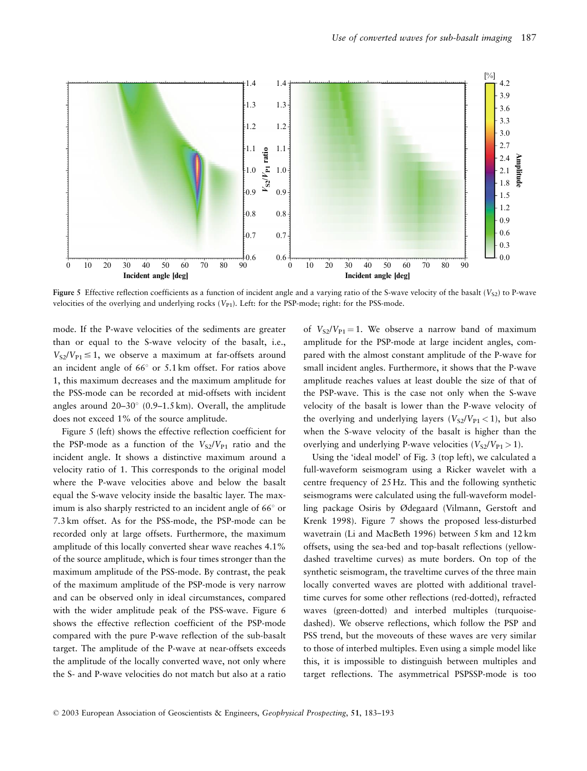

Figure 5 Effective reflection coefficients as a function of incident angle and a varying ratio of the S-wave velocity of the basalt ( $V_{52}$ ) to P-wave velocities of the overlying and underlying rocks  $(V_{P1})$ . Left: for the PSP-mode; right: for the PSS-mode.

mode. If the P-wave velocities of the sediments are greater than or equal to the S-wave velocity of the basalt, i.e.,  $V_{S2}/V_{P1} \le 1$ , we observe a maximum at far-offsets around an incident angle of 66° or 5.1 km offset. For ratios above 1, this maximum decreases and the maximum amplitude for the PSS-mode can be recorded at mid-offsets with incident angles around  $20-30^{\circ}$  (0.9-1.5 km). Overall, the amplitude does not exceed 1% of the source amplitude.

Figure 5 (left) shows the effective reflection coefficient for the PSP-mode as a function of the  $V_{S2}/V_{P1}$  ratio and the incident angle. It shows a distinctive maximum around a velocity ratio of 1. This corresponds to the original model where the P-wave velocities above and below the basalt equal the S-wave velocity inside the basaltic layer. The maximum is also sharply restricted to an incident angle of 66° or 7.3 km offset. As for the PSS-mode, the PSP-mode can be recorded only at large offsets. Furthermore, the maximum amplitude of this locally converted shear wave reaches 4.1% of the source amplitude, which is four times stronger than the maximum amplitude of the PSS-mode. By contrast, the peak of the maximum amplitude of the PSP-mode is very narrow and can be observed only in ideal circumstances, compared with the wider amplitude peak of the PSS-wave. Figure 6 shows the effective reflection coefficient of the PSP-mode compared with the pure P-wave reflection of the sub-basalt target. The amplitude of the P-wave at near-offsets exceeds the amplitude of the locally converted wave, not only where the S- and P-wave velocities do not match but also at a ratio of  $V_{S2}/V_{P1} = 1$ . We observe a narrow band of maximum amplitude for the PSP-mode at large incident angles, compared with the almost constant amplitude of the P-wave for small incident angles. Furthermore, it shows that the P-wave amplitude reaches values at least double the size of that of the PSP-wave. This is the case not only when the S-wave velocity of the basalt is lower than the P-wave velocity of the overlying and underlying layers ( $V_{S2}/V_{P1}$  < 1), but also when the S-wave velocity of the basalt is higher than the overlying and underlying P-wave velocities  $(V_{S2}/V_{P1} > 1)$ .

Using the 'ideal model' of Fig. 3 (top left), we calculated a full-waveform seismogram using a Ricker wavelet with a centre frequency of 25 Hz. This and the following synthetic seismograms were calculated using the full-waveform modelling package Osiris by Ødegaard (Vilmann, Gerstoft and Krenk 1998). Figure 7 shows the proposed less-disturbed wavetrain (Li and MacBeth 1996) between 5 km and 12 km offsets, using the sea-bed and top-basalt reflections (yellowdashed traveltime curves) as mute borders. On top of the synthetic seismogram, the traveltime curves of the three main locally converted waves are plotted with additional traveltime curves for some other reflections (red-dotted), refracted waves (green-dotted) and interbed multiples (turquoisedashed). We observe reflections, which follow the PSP and PSS trend, but the moveouts of these waves are very similar to those of interbed multiples. Even using a simple model like this, it is impossible to distinguish between multiples and target reflections. The asymmetrical PSPSSP-mode is too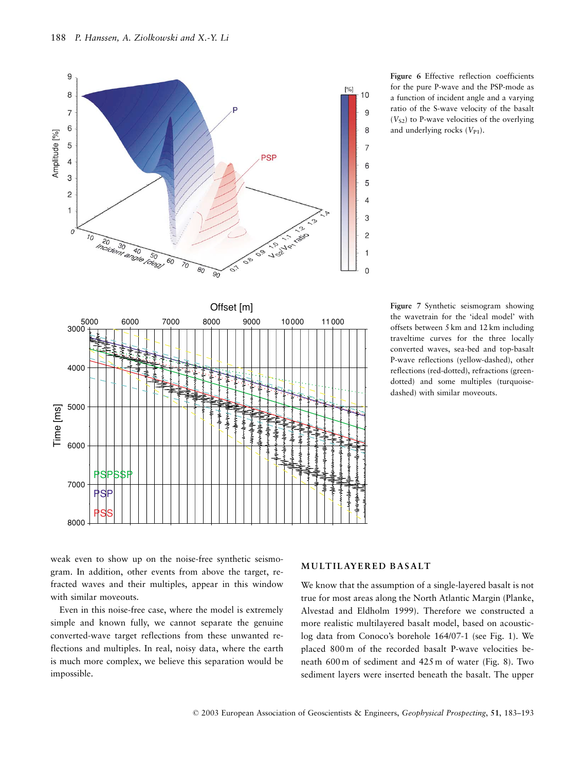

Figure 6 Effective reflection coefficients for the pure P-wave and the PSP-mode as a function of incident angle and a varying ratio of the S-wave velocity of the basalt  $(V<sub>S2</sub>)$  to P-wave velocities of the overlying and underlying rocks  $(V_{P1})$ .

Figure 7 Synthetic seismogram showing the wavetrain for the 'ideal model' with offsets between 5 km and 12 km including traveltime curves for the three locally converted waves, sea-bed and top-basalt P-wave reflections (yellow-dashed), other reflections (red-dotted), refractions (greendotted) and some multiples (turquoisedashed) with similar moveouts.

weak even to show up on the noise-free synthetic seismogram. In addition, other events from above the target, refracted waves and their multiples, appear in this window with similar moveouts.

Even in this noise-free case, where the model is extremely simple and known fully, we cannot separate the genuine converted-wave target reflections from these unwanted reflections and multiples. In real, noisy data, where the earth is much more complex, we believe this separation would be impossible.

## MULTILAYERED BASALT

We know that the assumption of a single-layered basalt is not true for most areas along the North Atlantic Margin (Planke, Alvestad and Eldholm 1999). Therefore we constructed a more realistic multilayered basalt model, based on acousticlog data from Conoco's borehole 164/07-1 (see Fig. 1). We placed 800 m of the recorded basalt P-wave velocities beneath 600 m of sediment and 425 m of water (Fig. 8). Two sediment layers were inserted beneath the basalt. The upper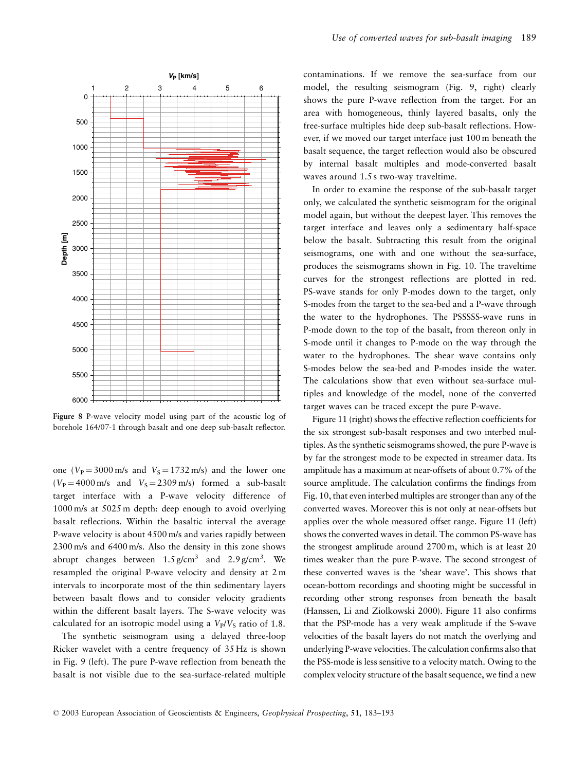

Figure 8 P-wave velocity model using part of the acoustic log of borehole 164/07-1 through basalt and one deep sub-basalt reflector.

one ( $V_P = 3000$  m/s and  $V_S = 1732$  m/s) and the lower one  $(V_P = 4000 \text{ m/s}$  and  $V_S = 2309 \text{ m/s}$  formed a sub-basalt target interface with a P-wave velocity difference of 1000 m/s at 5025 m depth: deep enough to avoid overlying basalt reflections. Within the basaltic interval the average P-wave velocity is about 4500 m/s and varies rapidly between 2300 m/s and 6400 m/s. Also the density in this zone shows abrupt changes between  $1.5 \text{ g/cm}^3$  and  $2.9 \text{ g/cm}^3$ . We resampled the original P-wave velocity and density at 2 m intervals to incorporate most of the thin sedimentary layers between basalt flows and to consider velocity gradients within the different basalt layers. The S-wave velocity was calculated for an isotropic model using a  $V_P/V_S$  ratio of 1.8.

The synthetic seismogram using a delayed three-loop Ricker wavelet with a centre frequency of 35 Hz is shown in Fig. 9 (left). The pure P-wave reflection from beneath the basalt is not visible due to the sea-surface-related multiple contaminations. If we remove the sea-surface from our model, the resulting seismogram (Fig. 9, right) clearly shows the pure P-wave reflection from the target. For an area with homogeneous, thinly layered basalts, only the free-surface multiples hide deep sub-basalt reflections. However, if we moved our target interface just 100 m beneath the basalt sequence, the target reflection would also be obscured by internal basalt multiples and mode-converted basalt waves around 1.5 s two-way traveltime.

In order to examine the response of the sub-basalt target only, we calculated the synthetic seismogram for the original model again, but without the deepest layer. This removes the target interface and leaves only a sedimentary half-space below the basalt. Subtracting this result from the original seismograms, one with and one without the sea-surface, produces the seismograms shown in Fig. 10. The traveltime curves for the strongest reflections are plotted in red. PS-wave stands for only P-modes down to the target, only S-modes from the target to the sea-bed and a P-wave through the water to the hydrophones. The PSSSSS-wave runs in P-mode down to the top of the basalt, from thereon only in S-mode until it changes to P-mode on the way through the water to the hydrophones. The shear wave contains only S-modes below the sea-bed and P-modes inside the water. The calculations show that even without sea-surface multiples and knowledge of the model, none of the converted target waves can be traced except the pure P-wave.

Figure 11 (right) shows the effective reflection coefficients for the six strongest sub-basalt responses and two interbed multiples. As the synthetic seismograms showed, the pure P-wave is by far the strongest mode to be expected in streamer data. Its amplitude has a maximum at near-offsets of about 0.7% of the source amplitude. The calculation confirms the findings from Fig. 10, that even interbed multiples are stronger than any of the converted waves. Moreover this is not only at near-offsets but applies over the whole measured offset range. Figure 11 (left) shows the converted waves in detail. The common PS-wave has the strongest amplitude around 2700 m, which is at least 20 times weaker than the pure P-wave. The second strongest of these converted waves is the 'shear wave'. This shows that ocean-bottom recordings and shooting might be successful in recording other strong responses from beneath the basalt (Hanssen, Li and Ziolkowski 2000). Figure 11 also confirms that the PSP-mode has a very weak amplitude if the S-wave velocities of the basalt layers do not match the overlying and underlying P-wave velocities. The calculation confirms also that the PSS-mode is less sensitive to a velocity match. Owing to the complex velocity structure of the basalt sequence, we find a new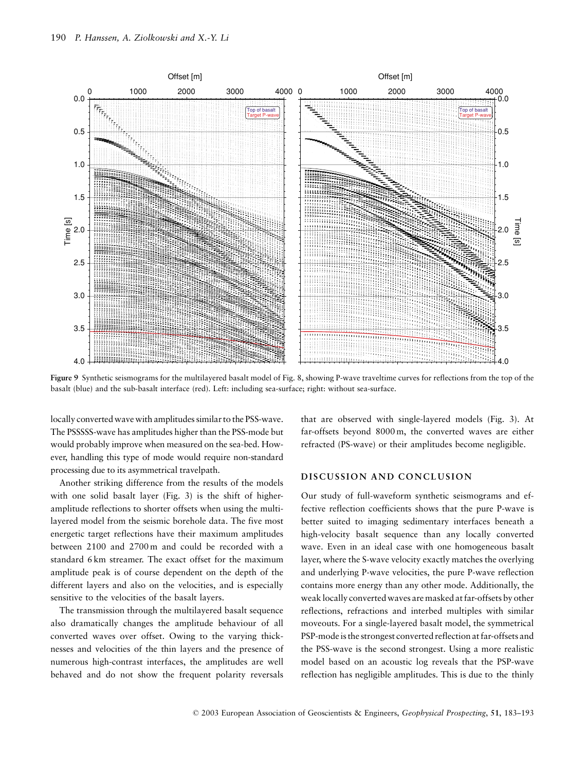

Figure 9 Synthetic seismograms for the multilayered basalt model of Fig. 8, showing P-wave traveltime curves for reflections from the top of the basalt (blue) and the sub-basalt interface (red). Left: including sea-surface; right: without sea-surface.

locally converted wave with amplitudes similar to the PSS-wave. The PSSSSS-wave has amplitudes higher than the PSS-mode but would probably improve when measured on the sea-bed. However, handling this type of mode would require non-standard processing due to its asymmetrical travelpath.

Another striking difference from the results of the models with one solid basalt layer (Fig. 3) is the shift of higheramplitude reflections to shorter offsets when using the multilayered model from the seismic borehole data. The five most energetic target reflections have their maximum amplitudes between 2100 and 2700 m and could be recorded with a standard 6 km streamer. The exact offset for the maximum amplitude peak is of course dependent on the depth of the different layers and also on the velocities, and is especially sensitive to the velocities of the basalt layers.

The transmission through the multilayered basalt sequence also dramatically changes the amplitude behaviour of all converted waves over offset. Owing to the varying thicknesses and velocities of the thin layers and the presence of numerous high-contrast interfaces, the amplitudes are well behaved and do not show the frequent polarity reversals that are observed with single-layered models (Fig. 3). At far-offsets beyond 8000m, the converted waves are either refracted (PS-wave) or their amplitudes become negligible.

## DISCUSSION AND CONCLUSION

Our study of full-waveform synthetic seismograms and effective reflection coefficients shows that the pure P-wave is better suited to imaging sedimentary interfaces beneath a high-velocity basalt sequence than any locally converted wave. Even in an ideal case with one homogeneous basalt layer, where the S-wave velocity exactly matches the overlying and underlying P-wave velocities, the pure P-wave reflection contains more energy than any other mode. Additionally, the weak locally converted waves are masked at far-offsets by other reflections, refractions and interbed multiples with similar moveouts. For a single-layered basalt model, the symmetrical PSP-mode is the strongest converted reflection at far-offsets and the PSS-wave is the second strongest. Using a more realistic model based on an acoustic log reveals that the PSP-wave reflection has negligible amplitudes. This is due to the thinly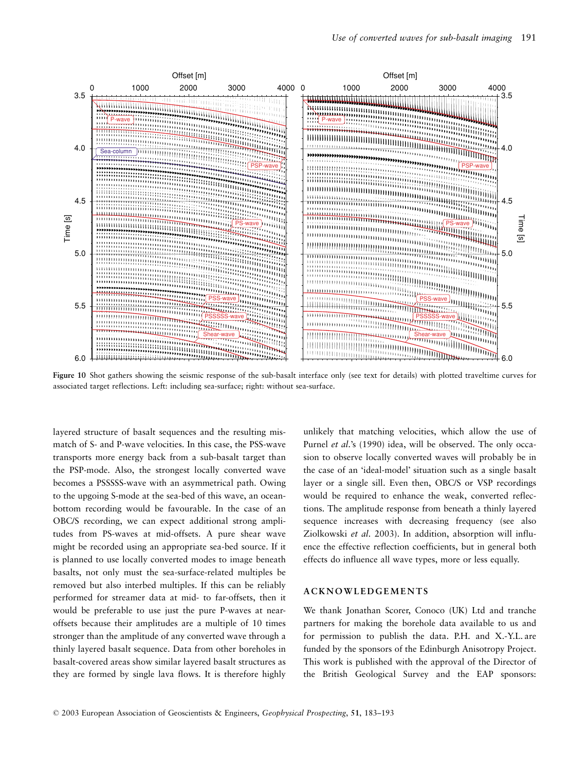

Figure 10 Shot gathers showing the seismic response of the sub-basalt interface only (see text for details) with plotted traveltime curves for associated target reflections. Left: including sea-surface; right: without sea-surface.

layered structure of basalt sequences and the resulting mismatch of S- and P-wave velocities. In this case, the PSS-wave transports more energy back from a sub-basalt target than the PSP-mode. Also, the strongest locally converted wave becomes a PSSSSS-wave with an asymmetrical path. Owing to the upgoing S-mode at the sea-bed of this wave, an oceanbottom recording would be favourable. In the case of an OBC/S recording, we can expect additional strong amplitudes from PS-waves at mid-offsets. A pure shear wave might be recorded using an appropriate sea-bed source. If it is planned to use locally converted modes to image beneath basalts, not only must the sea-surface-related multiples be removed but also interbed multiples. If this can be reliably performed for streamer data at mid- to far-offsets, then it would be preferable to use just the pure P-waves at nearoffsets because their amplitudes are a multiple of 10 times stronger than the amplitude of any converted wave through a thinly layered basalt sequence. Data from other boreholes in basalt-covered areas show similar layered basalt structures as they are formed by single lava flows. It is therefore highly

unlikely that matching velocities, which allow the use of Purnel et al.'s (1990) idea, will be observed. The only occasion to observe locally converted waves will probably be in the case of an 'ideal-model' situation such as a single basalt laver or a single sill. Even then, OBC/S or VSP recordings would be required to enhance the weak, converted reflections. The amplitude response from beneath a thinly layered sequence increases with decreasing frequency (see also Ziolkowski et al. 2003). In addition, absorption will influence the effective reflection coefficients, but in general both effects do influence all wave types, more or less equally.

### **ACKNOWLEDGEMENTS**

We thank Jonathan Scorer, Conoco (UK) Ltd and tranche partners for making the borehole data available to us and for permission to publish the data. P.H. and X.-Y.L. are funded by the sponsors of the Edinburgh Anisotropy Project. This work is published with the approval of the Director of the British Geological Survey and the EAP sponsors: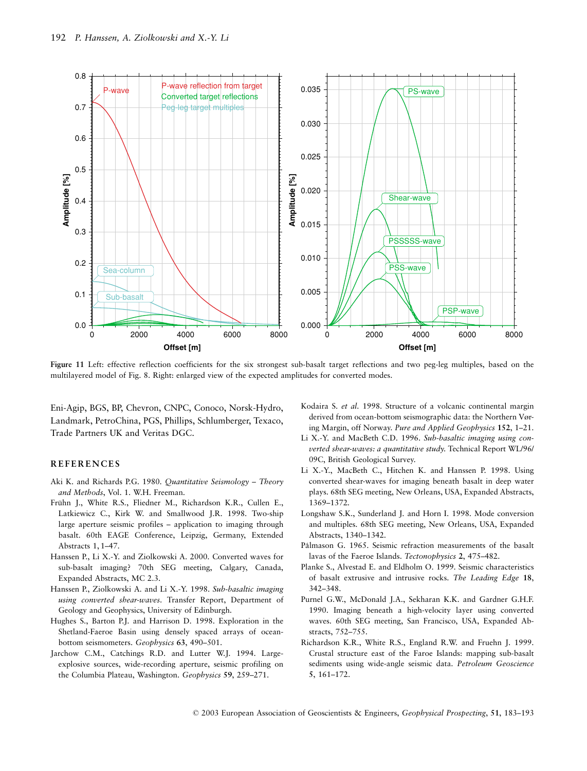

Figure 11 Left: effective reflection coefficients for the six strongest sub-basalt target reflections and two peg-leg multiples, based on the multilayered model of Fig. 8. Right: enlarged view of the expected amplitudes for converted modes.

Eni-Agip, BGS, BP, Chevron, CNPC, Conoco, Norsk-Hydro, Landmark, PetroChina, PGS, Phillips, Schlumberger, Texaco, Trade Partners UK and Veritas DGC.

## **REFERENCES**

- Aki K. and Richards P.G. 1980. Quantitative Seismology Theory and Methods, Vol. 1. W.H. Freeman.
- Frühn J., White R.S., Fliedner M., Richardson K.R., Cullen E., Latkiewicz C., Kirk W. and Smallwood J.R. 1998. Two-ship large aperture seismic profiles - application to imaging through basalt. 60th EAGE Conference, Leipzig, Germany, Extended Abstracts 1, 1-47.
- Hanssen P., Li X.-Y. and Ziolkowski A. 2000. Converted waves for sub-basalt imaging? 70th SEG meeting, Calgary, Canada, Expanded Abstracts, MC 2.3.
- Hanssen P., Ziolkowski A. and Li X.-Y. 1998. Sub-basaltic imaging using converted shear-waves. Transfer Report, Department of Geology and Geophysics, University of Edinburgh.
- Hughes S., Barton P.J. and Harrison D. 1998. Exploration in the Shetland-Faeroe Basin using densely spaced arrays of oceanbottom seismometers. Geophysics 63, 490-501.
- Jarchow C.M., Catchings R.D. and Lutter W.J. 1994. Largeexplosive sources, wide-recording aperture, seismic profiling on the Columbia Plateau, Washington. Geophysics 59, 259-271.
- Kodaira S. et al. 1998. Structure of a volcanic continental margin derived from ocean-bottom seismographic data: the Northern Vøring Margin, off Norway. Pure and Applied Geophysics 152, 1-21.
- Li X.-Y. and MacBeth C.D. 1996. Sub-basaltic imaging using converted shear-waves: a quantitative study. Technical Report WL/96/ 09C, British Geological Survey.
- Li X.-Y., MacBeth C., Hitchen K. and Hanssen P. 1998. Using converted shear-waves for imaging beneath basalt in deep water plays. 68th SEG meeting, New Orleans, USA, Expanded Abstracts, 1369-1372.
- Longshaw S.K., Sunderland J. and Horn I. 1998. Mode conversion and multiples. 68th SEG meeting, New Orleans, USA, Expanded Abstracts, 1340-1342.
- Pálmason G. 1965. Seismic refraction measurements of the basalt lavas of the Faeroe Islands. Tectonophysics 2, 475-482.
- Planke S., Alvestad E. and Eldholm O. 1999. Seismic characteristics of basalt extrusive and intrusive rocks. The Leading Edge 18,  $342 - 348$
- Purnel G.W., McDonald J.A., Sekharan K.K. and Gardner G.H.F. 1990. Imaging beneath a high-velocity layer using converted waves. 60th SEG meeting, San Francisco, USA, Expanded Abstracts, 752-755.
- Richardson K.R., White R.S., England R.W. and Fruehn J. 1999. Crustal structure east of the Faroe Islands: mapping sub-basalt sediments using wide-angle seismic data. Petroleum Geoscience 5, 161-172.